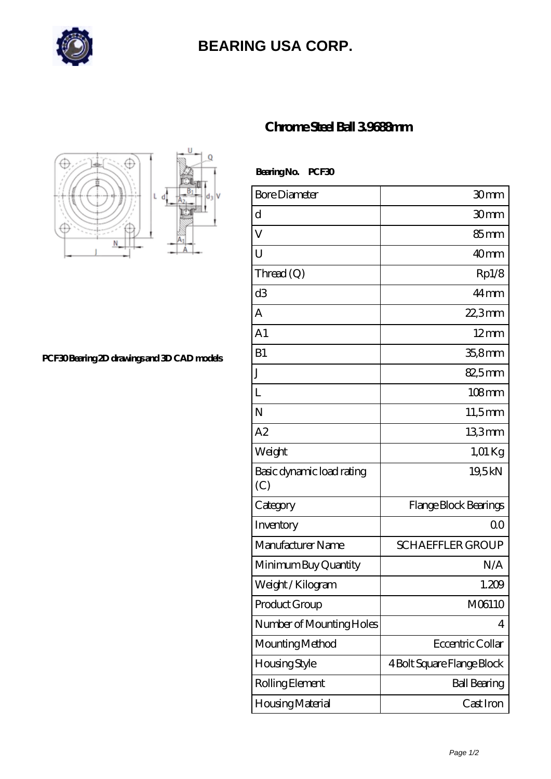

## **[BEARING USA CORP.](https://hathaykhongbanghayhat.org)**



**[PCF30 Bearing 2D drawings and 3D CAD models](https://hathaykhongbanghayhat.org/pic-684029.html)**

## **[Chrome Steel Ball 3.9688mm](https://hathaykhongbanghayhat.org/af-684029-chrome-steel-ball-3-9688mm.html)**

 **Bearing No. PCF30**

| <b>Bore Diameter</b>             | 30mm                       |
|----------------------------------|----------------------------|
| d                                | 30mm                       |
| V                                | 85 <sub>mm</sub>           |
| U                                | 40 <sub>mm</sub>           |
| Thread $(Q)$                     | Rp1/8                      |
| d <sub>3</sub>                   | $44 \,\mathrm{mm}$         |
| A                                | 22,3mm                     |
| A <sub>1</sub>                   | $12 \text{mm}$             |
| B1                               | $358$ mm                   |
| J                                | 82,5mm                     |
| L                                | $108$ mm                   |
| N                                | $11,5$ mm                  |
| A2                               | 133mm                      |
| Weight                           | $1,01$ Kg                  |
| Basic dynamic load rating<br>(C) | 19,5kN                     |
| Category                         | Flange Block Bearings      |
| Inventory                        | 0 <sup>0</sup>             |
| Manufacturer Name                | <b>SCHAEFFLER GROUP</b>    |
| Minimum Buy Quantity             | N/A                        |
| Weight / Kilogram                | 1.209                      |
| Product Group                    | M06110                     |
| Number of Mounting Holes         | 4                          |
| Mounting Method                  | Eccentric Collar           |
| Housing Style                    | 4 Bolt Square Flange Block |
| Rolling Element                  | <b>Ball Bearing</b>        |
| Housing Material                 | Cast Iron                  |